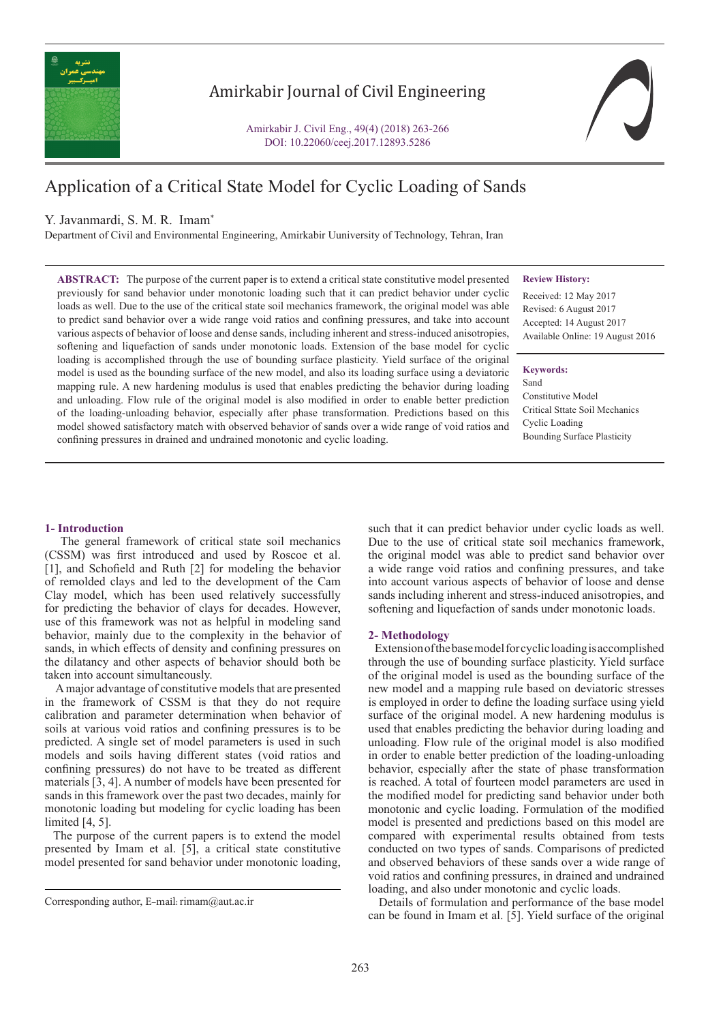

## Amirkabir Journal of Civil Engineering

Amirkabir J. Civil Eng., 49(4) (2018) 263-266 DOI: 10.22060/ceej.2017.12893.5286



# Application of a Critical State Model for Cyclic Loading of Sands

### Y. Javanmardi, S. M. R. Imam\*

Department of Civil and Environmental Engineering, Amirkabir Uuniversity of Technology, Tehran, Iran

#### **Review History:**

**ABSTRACT:** The purpose of the current paper is to extend a critical state constitutive model presented previously for sand behavior under monotonic loading such that it can predict behavior under cyclic loads as well. Due to the use of the critical state soil mechanics framework, the original model was able to predict sand behavior over a wide range void ratios and confining pressures, and take into account various aspects of behavior of loose and dense sands, including inherent and stress-induced anisotropies, softening and liquefaction of sands under monotonic loads. Extension of the base model for cyclic loading is accomplished through the use of bounding surface plasticity. Yield surface of the original model is used as the bounding surface of the new model, and also its loading surface using a deviatoric mapping rule. A new hardening modulus is used that enables predicting the behavior during loading and unloading. Flow rule of the original model is also modified in order to enable better prediction of the loading-unloading behavior, especially after phase transformation. Predictions based on this model showed satisfactory match with observed behavior of sands over a wide range of void ratios and confining pressures in drained and undrained monotonic and cyclic loading.

Received: 12 May 2017 Revised: 6 August 2017 Accepted: 14 August 2017 Available Online: 19 August 2016

#### **Keywords:**

Sand

Constitutive Model Critical Sttate Soil Mechanics Cyclic Loading Bounding Surface Plasticity

#### **1- Introduction**

 The general framework of critical state soil mechanics (CSSM) was first introduced and used by Roscoe et al. [1], and Schofield and Ruth [2] for modeling the behavior of remolded clays and led to the development of the Cam Clay model, which has been used relatively successfully for predicting the behavior of clays for decades. However, use of this framework was not as helpful in modeling sand behavior, mainly due to the complexity in the behavior of sands, in which effects of density and confining pressures on the dilatancy and other aspects of behavior should both be taken into account simultaneously.

 A major advantage of constitutive models that are presented in the framework of CSSM is that they do not require calibration and parameter determination when behavior of soils at various void ratios and confining pressures is to be predicted. A single set of model parameters is used in such models and soils having different states (void ratios and confining pressures) do not have to be treated as different materials [3, 4]. A number of models have been presented for sands in this framework over the past two decades, mainly for monotonic loading but modeling for cyclic loading has been limited [4, 5].

 The purpose of the current papers is to extend the model presented by Imam et al. [5], a critical state constitutive model presented for sand behavior under monotonic loading,

such that it can predict behavior under cyclic loads as well. Due to the use of critical state soil mechanics framework. the original model was able to predict sand behavior over a wide range void ratios and confining pressures, and take into account various aspects of behavior of loose and dense sands including inherent and stress-induced anisotropies, and softening and liquefaction of sands under monotonic loads.

#### **2- Methodology**

 Extension of the base model for cyclic loading is accomplished through the use of bounding surface plasticity. Yield surface of the original model is used as the bounding surface of the new model and a mapping rule based on deviatoric stresses is employed in order to define the loading surface using yield surface of the original model. A new hardening modulus is used that enables predicting the behavior during loading and unloading. Flow rule of the original model is also modified in order to enable better prediction of the loading-unloading behavior, especially after the state of phase transformation is reached. A total of fourteen model parameters are used in the modified model for predicting sand behavior under both monotonic and cyclic loading. Formulation of the modified model is presented and predictions based on this model are compared with experimental results obtained from tests conducted on two types of sands. Comparisons of predicted and observed behaviors of these sands over a wide range of void ratios and confining pressures, in drained and undrained loading, and also under monotonic and cyclic loads.

 Details of formulation and performance of the base model can be found in Imam et al. [5]. Yield surface of the original

Corresponding author, E-mail: rimam@aut.ac.ir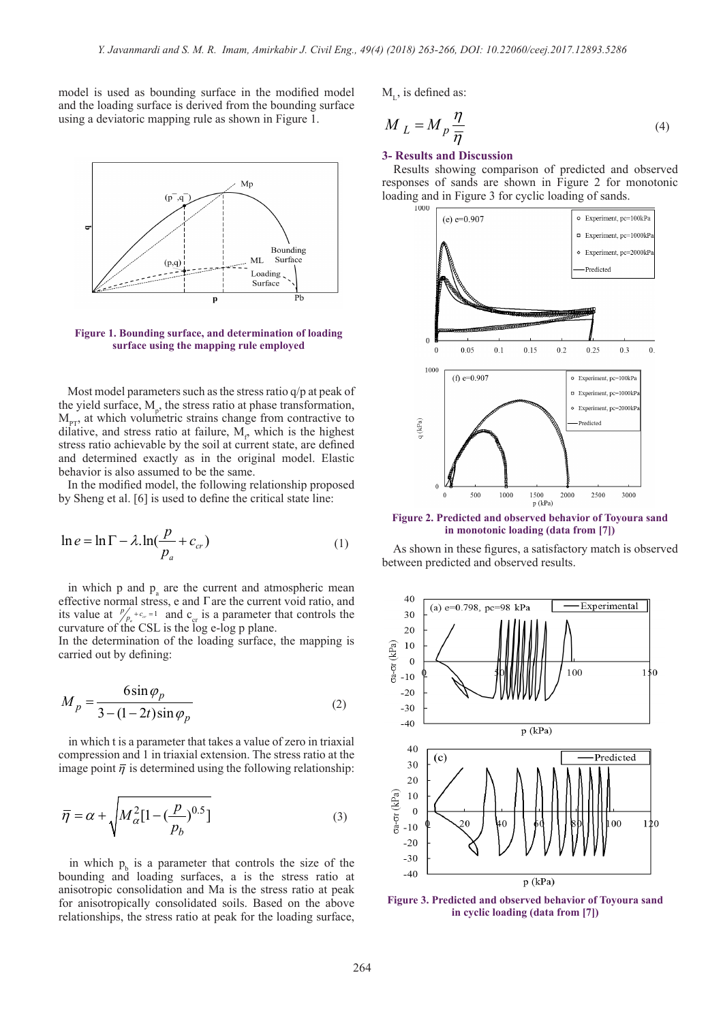model is used as bounding surface in the modified model and the loading surface is derived from the bounding surface using a deviatoric mapping rule as shown in Figure 1.



**Figure 1. Bounding surface, and determination of loading surface using the mapping rule employed**

Most model parameters such as the stress ratio q/p at peak of the yield surface,  $M_{p}$ , the stress ratio at phase transformation,  $M_{\text{PT}}$ , at which volumetric strains change from contractive to dilative, and stress ratio at failure,  $M_{\rm p}$  which is the highest stress ratio achievable by the soil at current state, are defined and determined exactly as in the original model. Elastic behavior is also assumed to be the same.

 In the modified model, the following relationship proposed by Sheng et al. [6] is used to define the critical state line:

$$
\ln e = \ln \Gamma - \lambda \cdot \ln \left( \frac{p}{p_a} + c_{cr} \right) \tag{1}
$$

in which  $p$  and  $p_a$  are the current and atmospheric mean effective normal stress, e and  $\Gamma$  are the current void ratio, and its value at  $\int_{\rho_a}^{\rho_a} + c_{\sigma} = 1$  and  $c_{\text{cr}}$  is a parameter that controls the curvature of the CSL is the log e-log p plane.

In the determination of the loading surface, the mapping is carried out by defining:

$$
M_p = \frac{6\sin\varphi_p}{3 - (1 - 2t)\sin\varphi_p} \tag{2}
$$

 in which t is a parameter that takes a value of zero in triaxial compression and 1 in triaxial extension. The stress ratio at the image point  $\overline{\eta}$  is determined using the following relationship:

$$
\overline{\eta} = \alpha + \sqrt{M_{\alpha}^2 [1 - \left(\frac{p}{p_b}\right)^{0.5}]}
$$
\n(3)

in which  $p_b$  is a parameter that controls the size of the bounding and loading surfaces, a is the stress ratio at anisotropic consolidation and Ma is the stress ratio at peak for anisotropically consolidated soils. Based on the above relationships, the stress ratio at peak for the loading surface,

 $M_{\tau}$ , is defined as:

$$
M_L = M_p \frac{\eta}{\overline{\eta}}
$$
 (4)

#### **3- Results and Discussion**

 Results showing comparison of predicted and observed responses of sands are shown in Figure 2 for monotonic loading and in Figure 3 for cyclic loading of sands.



**Figure 2. Predicted and observed behavior of Toyoura sand in monotonic loading (data from [7])**

 As shown in these figures, a satisfactory match is observed between predicted and observed results.



**Figure 3. Predicted and observed behavior of Toyoura sand in cyclic loading (data from [7])**